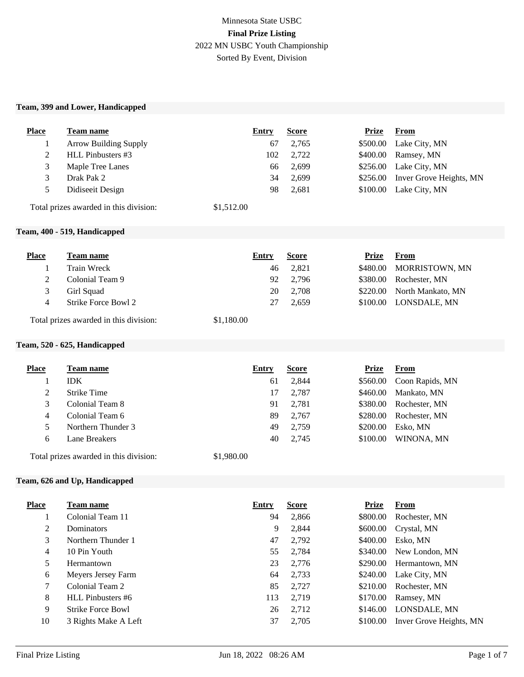# Minnesota State USBC **Final Prize Listing** 2022 MN USBC Youth Championship Sorted By Event, Division

#### **Team, 399 and Lower, Handicapped**

| <b>Place</b> | Team name                    | Entry       | <b>Score</b> | Prize    | <b>From</b>                      |
|--------------|------------------------------|-------------|--------------|----------|----------------------------------|
|              | <b>Arrow Building Supply</b> | 67          | 2,765        | \$500.00 | Lake City, MN                    |
| 2            | HLL Pinbusters #3            | 102         | 2,722        | \$400.00 | Ramsey, MN                       |
| 3            | Maple Tree Lanes             | 66          | 2,699        |          | $$256.00$ Lake City, MN          |
| 3            | Drak Pak 2                   | 34          | 2,699        |          | \$256.00 Inver Grove Heights, MN |
| 5            | Didiseeit Design             | 98          | 2,681        | \$100.00 | Lake City, MN                    |
|              |                              | $A + F + A$ |              |          |                                  |

Total prizes awarded in this division: \$1,512.00

#### **Team, 400 - 519, Handicapped**

| <b>Place</b> | Team name           | Entry | <b>Score</b> | Prize | From                       |
|--------------|---------------------|-------|--------------|-------|----------------------------|
|              | Train Wreck         | 46    | 2.821        |       | \$480.00 MORRISTOWN, MN    |
|              | Colonial Team 9     | 92    | 2.796        |       | \$380.00 Rochester, MN     |
|              | Girl Squad          | 20    | 2,708        |       | \$220.00 North Mankato, MN |
|              | Strike Force Bowl 2 | 27    | 2.659        |       | \$100.00 LONSDALE, MN      |
|              |                     |       |              |       |                            |

Total prizes awarded in this division: \$1,180.00

### **Team, 520 - 625, Handicapped**

| Place | <b>Team name</b>   | Entry | <b>Score</b> | <b>Prize</b> | From            |
|-------|--------------------|-------|--------------|--------------|-----------------|
|       | IDK.               | 61    | 2,844        | \$560.00     | Coon Rapids, MN |
|       | <b>Strike Time</b> | 17    | 2,787        | \$460.00     | Mankato, MN     |
|       | Colonial Team 8    | 91    | 2,781        | \$380.00     | Rochester, MN   |
| 4     | Colonial Team 6    | 89    | 2,767        | \$280.00     | Rochester, MN   |
|       | Northern Thunder 3 | 49    | 2,759        | \$200.00     | Esko, MN        |
| 6     | Lane Breakers      | 40    | 2,745        | \$100.00     | WINONA, MN      |
|       |                    |       |              |              |                 |

Total prizes awarded in this division: \$1,980.00

#### **Team, 626 and Up, Handicapped**

| <b>Place</b> | Team name                | Entry | <b>Score</b> | <b>Prize</b> | <b>From</b>             |
|--------------|--------------------------|-------|--------------|--------------|-------------------------|
|              | Colonial Team 11         | 94    | 2,866        | \$800.00     | Rochester, MN           |
| 2            | <b>Dominators</b>        | 9     | 2,844        | \$600.00     | Crystal, MN             |
| 3            | Northern Thunder 1       | 47    | 2,792        | \$400.00     | Esko, MN                |
| 4            | 10 Pin Youth             | 55    | 2,784        | \$340.00     | New London, MN          |
| 5            | Hermantown               | 23    | 2,776        | \$290.00     | Hermantown, MN          |
| 6            | Meyers Jersey Farm       | 64    | 2,733        | \$240.00     | Lake City, MN           |
| 7            | Colonial Team 2          | 85    | 2,727        | \$210.00     | Rochester, MN           |
| 8            | HLL Pinbusters #6        | 113   | 2,719        | \$170.00     | Ramsey, MN              |
| 9            | <b>Strike Force Bowl</b> | 26    | 2,712        | \$146.00     | LONSDALE, MN            |
| 10           | 3 Rights Make A Left     | 37    | 2,705        | \$100.00     | Inver Grove Heights, MN |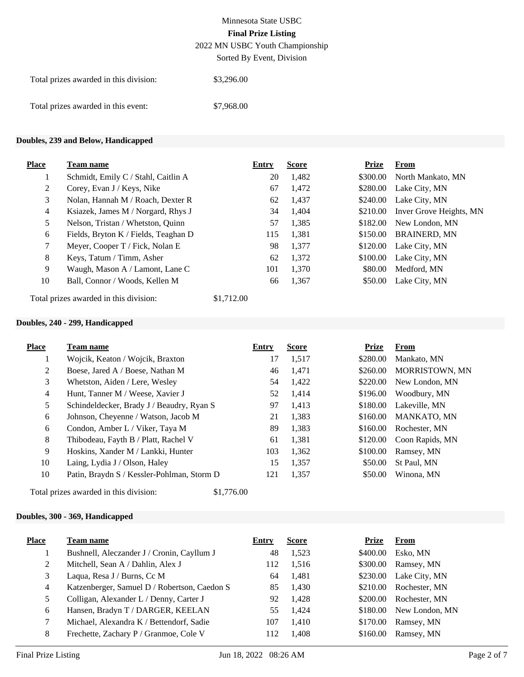2022 MN USBC Youth Championship

Sorted By Event, Division

| Total prizes awarded in this division: | \$3,296.00 |  |
|----------------------------------------|------------|--|
| Total prizes awarded in this event:    | \$7,968.00 |  |

### **Doubles, 239 and Below, Handicapped**

| <b>Place</b>   | <b>Team name</b>                       | Entry      | <b>Score</b> | <b>Prize</b> | From                    |
|----------------|----------------------------------------|------------|--------------|--------------|-------------------------|
|                | Schmidt, Emily C / Stahl, Caitlin A    | 20         | 1,482        | \$300.00     | North Mankato, MN       |
| $\overline{2}$ | Corey, Evan J / Keys, Nike             | 67         | 1,472        | \$280.00     | Lake City, MN           |
| 3              | Nolan, Hannah M / Roach, Dexter R      | 62         | 1,437        | \$240.00     | Lake City, MN           |
| 4              | Ksiazek, James M / Norgard, Rhys J     | 34         | 1,404        | \$210.00     | Inver Grove Heights, MN |
| 5              | Nelson, Tristan / Whetston, Quinn      | 57         | 1,385        | \$182.00     | New London, MN          |
| 6              | Fields, Bryton K / Fields, Teaghan D   | 115        | 1,381        | \$150.00     | <b>BRAINERD, MN</b>     |
| 7              | Meyer, Cooper T / Fick, Nolan E        | 98         | 1,377        | \$120.00     | Lake City, MN           |
| 8              | Keys, Tatum / Timm, Asher              | 62         | 1,372        | \$100.00     | Lake City, MN           |
| 9              | Waugh, Mason A / Lamont, Lane C        | 101        | 1,370        | \$80.00      | Medford, MN             |
| 10             | Ball, Connor / Woods, Kellen M         | 66         | 1,367        | \$50.00      | Lake City, MN           |
|                | Total prizes awarded in this division: | \$1,712.00 |              |              |                         |

### **Doubles, 240 - 299, Handicapped**

| <b>Place</b>   | <b>Team name</b>                                     | Entry | <b>Score</b> | <b>Prize</b> | <b>From</b>            |
|----------------|------------------------------------------------------|-------|--------------|--------------|------------------------|
|                | Wojcik, Keaton / Wojcik, Braxton                     | 17    | 1,517        | \$280.00     | Mankato, MN            |
| 2              | Boese, Jared A / Boese, Nathan M                     | 46    | 1.471        | \$260.00     | <b>MORRISTOWN, MN</b>  |
| 3              | Whetston, Aiden / Lere, Wesley                       | 54    | 1,422        | \$220.00     | New London, MN         |
| $\overline{4}$ | Hunt, Tanner M / Weese, Xavier J                     | 52    | 1,414        | \$196.00     | Woodbury, MN           |
| 5              | Schindeldecker, Brady J / Beaudry, Ryan S            | 97    | 1.413        |              | \$180.00 Lakeville, MN |
| 6              | Johnson, Cheyenne / Watson, Jacob M                  | 21    | 1,383        | \$160.00     | MANKATO, MN            |
| 6              | Condon, Amber L / Viker, Taya M                      | 89    | 1,383        | \$160.00     | Rochester, MN          |
| 8              | Thibodeau, Fayth B / Platt, Rachel V                 | 61    | 1,381        | \$120.00     | Coon Rapids, MN        |
| 9              | Hoskins, Xander M / Lankki, Hunter                   | 103   | 1,362        | \$100.00     | Ramsey, MN             |
| 10             | Laing, Lydia J / Olson, Haley                        | 15    | 1,357        | \$50.00      | St Paul, MN            |
| 10             | Patin, Braydn S / Kessler-Pohlman, Storm D           | 121   | 1,357        | \$50.00      | Winona, MN             |
|                | \$1,776.00<br>Total prizes awarded in this division: |       |              |              |                        |

### **Doubles, 300 - 369, Handicapped**

| <b>Place</b> | <b>Team name</b>                             | Entry | <b>Score</b> | <b>Prize</b> | <b>From</b>             |
|--------------|----------------------------------------------|-------|--------------|--------------|-------------------------|
|              | Bushnell, Aleczander J / Cronin, Cayllum J   | 48    | 1,523        | \$400.00     | Esko, MN                |
| 2            | Mitchell, Sean A / Dahlin, Alex J            | 112   | 1,516        | \$300.00     | Ramsey, MN              |
| 3            | Laqua, Resa J / Burns, Cc M                  | 64    | 1,481        |              | \$230.00 Lake City, MN  |
| 4            | Katzenberger, Samuel D / Robertson, Caedon S | 85    | 1,430        | \$210.00     | Rochester, MN           |
| 5.           | Colligan, Alexander L / Denny, Carter J      | 92    | 1,428        | \$200.00     | Rochester, MN           |
| 6            | Hansen, Bradyn T / DARGER, KEELAN            | 55    | 1,424        |              | \$180.00 New London, MN |
|              | Michael, Alexandra K / Bettendorf, Sadie     | 107   | 1.410        | \$170.00     | Ramsey, MN              |
| 8            | Frechette, Zachary P / Granmoe, Cole V       | 112   | 1,408        | \$160.00     | Ramsey, MN              |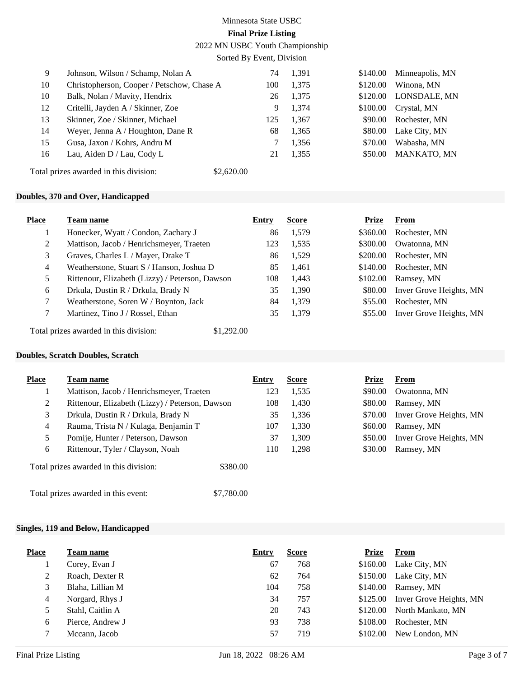2022 MN USBC Youth Championship

Sorted By Event, Division

| 9  | Johnson, Wilson / Schamp, Nolan A          | 74  | 1,391 | \$140.00 | Minneapolis, MN |
|----|--------------------------------------------|-----|-------|----------|-----------------|
| 10 | Christopherson, Cooper / Petschow, Chase A | 100 | 1,375 | \$120.00 | Winona, MN      |
| 10 | Balk, Nolan / Mavity, Hendrix              | 26  | 1,375 | \$120.00 | LONSDALE, MN    |
| 12 | Critelli, Jayden A / Skinner, Zoe          | 9   | 1.374 | \$100.00 | Crystal, MN     |
| 13 | Skinner, Zoe / Skinner, Michael            | 125 | 1,367 | \$90.00  | Rochester, MN   |
| 14 | Weyer, Jenna A / Houghton, Dane R          | 68  | 1,365 | \$80.00  | Lake City, MN   |
| 15 | Gusa, Jaxon / Kohrs, Andru M               |     | 1,356 | \$70.00  | Wabasha, MN     |
| 16 | Lau, Aiden D / Lau, Cody L                 | 21  | 1,355 | \$50.00  | MANKATO, MN     |
|    |                                            |     |       |          |                 |

Total prizes awarded in this division: \$2,620.00

### **Doubles, 370 and Over, Handicapped**

| <b>Place</b> | <b>Team name</b>                                | Entry | <b>Score</b> | Prize    | From                    |
|--------------|-------------------------------------------------|-------|--------------|----------|-------------------------|
|              | Honecker, Wyatt / Condon, Zachary J             | 86    | 1,579        | \$360.00 | Rochester, MN           |
| 2            | Mattison, Jacob / Henrichsmeyer, Traeten        | 123   | 1,535        | \$300.00 | Owatonna, MN            |
| 3            | Graves, Charles L / Mayer, Drake T              | 86    | 1,529        | \$200.00 | Rochester, MN           |
| 4            | Weatherstone, Stuart S / Hanson, Joshua D       | 85    | 1,461        | \$140.00 | Rochester, MN           |
|              | Rittenour, Elizabeth (Lizzy) / Peterson, Dawson | 108   | 1,443        | \$102.00 | Ramsey, MN              |
| 6            | Drkula, Dustin R / Drkula, Brady N              | 35    | 1,390        | \$80.00  | Inver Grove Heights, MN |
|              | Weatherstone, Soren W / Boynton, Jack           | 84    | 1,379        | \$55.00  | Rochester, MN           |
|              | Martinez, Tino J / Rossel, Ethan                | 35    | 1,379        | \$55.00  | Inver Grove Heights, MN |

Total prizes awarded in this division: \$1,292.00

#### **Doubles, Scratch Doubles, Scratch**

| <b>Place</b>   | Team name                                          | Entry | <b>Score</b> | Prize   | <b>From</b>             |
|----------------|----------------------------------------------------|-------|--------------|---------|-------------------------|
| H              | Mattison, Jacob / Henrichsmeyer, Traeten           | 123   | 1,535        | \$90.00 | Owatonna, MN            |
| 2              | Rittenour, Elizabeth (Lizzy) / Peterson, Dawson    | 108   | 1,430        | \$80.00 | Ramsey, MN              |
| 3              | Drkula, Dustin R / Drkula, Brady N                 | 35    | 1,336        | \$70.00 | Inver Grove Heights, MN |
| $\overline{4}$ | Rauma, Trista N / Kulaga, Benjamin T               | 107   | 1,330        | \$60.00 | Ramsey, MN              |
| 5              | Pomije, Hunter / Peterson, Dawson                  | 37    | 1,309        | \$50.00 | Inver Grove Heights, MN |
| 6              | Rittenour, Tyler / Clayson, Noah                   | 110   | 1,298        | \$30.00 | Ramsey, MN              |
|                | Total prizes awarded in this division:<br>\$380.00 |       |              |         |                         |
|                | \$7,780.00<br>Total prizes awarded in this event:  |       |              |         |                         |

### **Singles, 119 and Below, Handicapped**

| <b>Place</b> | Team name        | Entry | <b>Score</b> | Prize    | <b>From</b>             |
|--------------|------------------|-------|--------------|----------|-------------------------|
|              | Corey, Evan J    | 67    | 768          | \$160.00 | Lake City, MN           |
| 2            | Roach, Dexter R  | 62    | 764          | \$150.00 | Lake City, MN           |
| 3            | Blaha, Lillian M | 104   | 758          | \$140.00 | Ramsey, MN              |
| 4            | Norgard, Rhys J  | 34    | 757          | \$125.00 | Inver Grove Heights, MN |
| 5            | Stahl, Caitlin A | 20    | 743          | \$120.00 | North Mankato, MN       |
| 6            | Pierce, Andrew J | 93    | 738          | \$108.00 | Rochester, MN           |
|              | Mccann, Jacob    | 57    | 719          | \$102.00 | New London, MN          |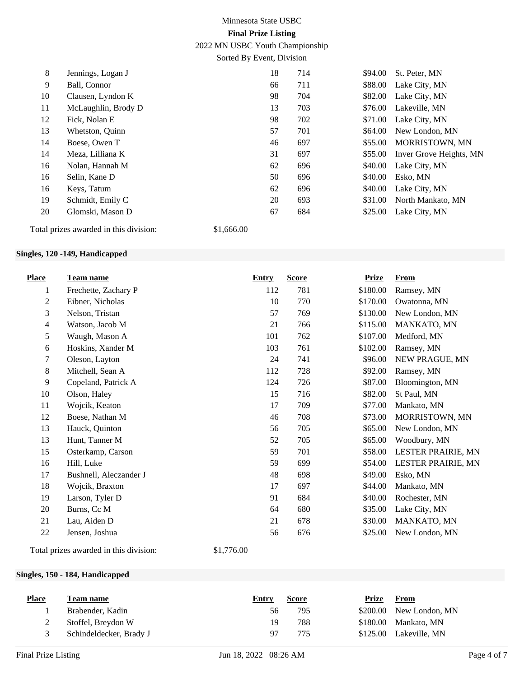2022 MN USBC Youth Championship

Sorted By Event, Division

| 8                    | Jennings, Logan J   | 18 | 714 | \$94.00 | St. Peter, MN           |
|----------------------|---------------------|----|-----|---------|-------------------------|
| 9                    | Ball, Connor        | 66 | 711 | \$88.00 | Lake City, MN           |
| 10                   | Clausen, Lyndon K   | 98 | 704 | \$82.00 | Lake City, MN           |
| 11                   | McLaughlin, Brody D | 13 | 703 | \$76.00 | Lakeville, MN           |
| 12                   | Fick, Nolan E       | 98 | 702 | \$71.00 | Lake City, MN           |
| 13                   | Whetston, Quinn     | 57 | 701 | \$64.00 | New London, MN          |
| 14                   | Boese, Owen T       | 46 | 697 | \$55.00 | MORRISTOWN, MN          |
| 14                   | Meza, Lilliana K    | 31 | 697 | \$55.00 | Inver Grove Heights, MN |
| 16                   | Nolan, Hannah M     | 62 | 696 | \$40.00 | Lake City, MN           |
| 16                   | Selin, Kane D       | 50 | 696 | \$40.00 | Esko, MN                |
| 16                   | Keys, Tatum         | 62 | 696 | \$40.00 | Lake City, MN           |
| 19                   | Schmidt, Emily C    | 20 | 693 | \$31.00 | North Mankato, MN       |
| 20                   | Glomski, Mason D    | 67 | 684 | \$25.00 | Lake City, MN           |
| $\sim$ $\sim$ $\sim$ | .<br>$A + C - C$    |    |     |         |                         |

Total prizes awarded in this division: \$1,666.00

### **Singles, 120 -149, Handicapped**

| <b>Place</b>     | Team name              | <b>Entry</b> | <b>Score</b> | <b>Prize</b> | From               |
|------------------|------------------------|--------------|--------------|--------------|--------------------|
| 1                | Frechette, Zachary P   | 112          | 781          | \$180.00     | Ramsey, MN         |
| $\boldsymbol{2}$ | Eibner, Nicholas       | 10           | 770          | \$170.00     | Owatonna, MN       |
| 3                | Nelson, Tristan        | 57           | 769          | \$130.00     | New London, MN     |
| $\overline{4}$   | Watson, Jacob M        | 21           | 766          | \$115.00     | MANKATO, MN        |
| 5                | Waugh, Mason A         | 101          | 762          | \$107.00     | Medford, MN        |
| 6                | Hoskins, Xander M      | 103          | 761          | \$102.00     | Ramsey, MN         |
| $\tau$           | Oleson, Layton         | 24           | 741          | \$96.00      | NEW PRAGUE, MN     |
| $\,8\,$          | Mitchell, Sean A       | 112          | 728          | \$92.00      | Ramsey, MN         |
| 9                | Copeland, Patrick A    | 124          | 726          | \$87.00      | Bloomington, MN    |
| 10               | Olson, Haley           | 15           | 716          | \$82.00      | St Paul, MN        |
| 11               | Wojcik, Keaton         | 17           | 709          | \$77.00      | Mankato, MN        |
| 12               | Boese, Nathan M        | 46           | 708          | \$73.00      | MORRISTOWN, MN     |
| 13               | Hauck, Quinton         | 56           | 705          | \$65.00      | New London, MN     |
| 13               | Hunt, Tanner M         | 52           | 705          | \$65.00      | Woodbury, MN       |
| 15               | Osterkamp, Carson      | 59           | 701          | \$58.00      | LESTER PRAIRIE, MN |
| 16               | Hill, Luke             | 59           | 699          | \$54.00      | LESTER PRAIRIE, MN |
| 17               | Bushnell, Aleczander J | 48           | 698          | \$49.00      | Esko, MN           |
| 18               | Wojcik, Braxton        | 17           | 697          | \$44.00      | Mankato, MN        |
| 19               | Larson, Tyler D        | 91           | 684          | \$40.00      | Rochester, MN      |
| 20               | Burns, Cc M            | 64           | 680          | \$35.00      | Lake City, MN      |
| 21               | Lau, Aiden D           | 21           | 678          | \$30.00      | MANKATO, MN        |
| 22               | Jensen, Joshua         | 56           | 676          | \$25.00      | New London, MN     |
|                  |                        |              |              |              |                    |

Total prizes awarded in this division: \$1,776.00

### **Singles, 150 - 184, Handicapped**

| <b>Place</b> | Team name               | Entry | <b>Score</b> | Prize | From                    |
|--------------|-------------------------|-------|--------------|-------|-------------------------|
|              | Brabender, Kadin        | 56    | 795          |       | \$200.00 New London, MN |
|              | Stoffel, Breydon W      | 19    | 788          |       | $$180.00$ Mankato, MN   |
|              | Schindeldecker, Brady J | 97    | 775          |       | \$125.00 Lakeville, MN  |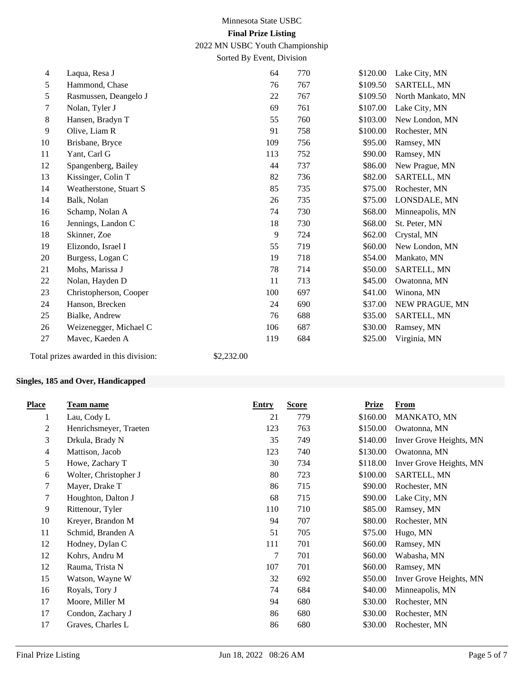2022 MN USBC Youth Championship

Sorted By Event, Division

| $\overline{4}$ | Laqua, Resa J                          | 64             | 770 | \$120.00 | Lake City, MN     |
|----------------|----------------------------------------|----------------|-----|----------|-------------------|
| 5              | Hammond, Chase                         | 76             | 767 | \$109.50 | SARTELL, MN       |
| 5              | Rasmussen, Deangelo J                  | 22             | 767 | \$109.50 | North Mankato, MN |
| 7              | Nolan, Tyler J                         | 69             | 761 | \$107.00 | Lake City, MN     |
| 8              | Hansen, Bradyn T                       | 55             | 760 | \$103.00 | New London, MN    |
| 9              | Olive, Liam R                          | 91             | 758 | \$100.00 | Rochester, MN     |
| 10             | Brisbane, Bryce                        | 109            | 756 | \$95.00  | Ramsey, MN        |
| 11             | Yant, Carl G                           | 113            | 752 | \$90.00  | Ramsey, MN        |
| 12             | Spangenberg, Bailey                    | 44             | 737 | \$86.00  | New Prague, MN    |
| 13             | Kissinger, Colin T                     | 82             | 736 | \$82.00  | SARTELL, MN       |
| 14             | Weatherstone, Stuart S                 | 85             | 735 | \$75.00  | Rochester, MN     |
| 14             | Balk, Nolan                            | 26             | 735 | \$75.00  | LONSDALE, MN      |
| 16             | Schamp, Nolan A                        | 74             | 730 | \$68.00  | Minneapolis, MN   |
| 16             | Jennings, Landon C                     | 18             | 730 | \$68.00  | St. Peter, MN     |
| 18             | Skinner, Zoe                           | $\overline{9}$ | 724 | \$62.00  | Crystal, MN       |
| 19             | Elizondo, Israel I                     | 55             | 719 | \$60.00  | New London, MN    |
| 20             | Burgess, Logan C                       | 19             | 718 | \$54.00  | Mankato, MN       |
| 21             | Mohs, Marissa J                        | 78             | 714 | \$50.00  | SARTELL, MN       |
| 22             | Nolan, Hayden D                        | 11             | 713 | \$45.00  | Owatonna, MN      |
| 23             | Christopherson, Cooper                 | 100            | 697 | \$41.00  | Winona, MN        |
| 24             | Hanson, Brecken                        | 24             | 690 | \$37.00  | NEW PRAGUE, MN    |
| 25             | Bialke, Andrew                         | 76             | 688 | \$35.00  | SARTELL, MN       |
| 26             | Weizenegger, Michael C                 | 106            | 687 | \$30.00  | Ramsey, MN        |
| 27             | Mavec, Kaeden A                        | 119            | 684 | \$25.00  | Virginia, MN      |
|                | Total prizes awarded in this division: | \$2,232.00     |     |          |                   |

### **Singles, 185 and Over, Handicapped**

| <b>Place</b>   | Team name              | <b>Entry</b> | <b>Score</b> | <b>Prize</b> | <b>From</b>             |
|----------------|------------------------|--------------|--------------|--------------|-------------------------|
| 1              | Lau, Cody L            | 21           | 779          | \$160.00     | MANKATO, MN             |
| $\overline{c}$ | Henrichsmeyer, Traeten | 123          | 763          | \$150.00     | Owatonna, MN            |
| 3              | Drkula, Brady N        | 35           | 749          | \$140.00     | Inver Grove Heights, MN |
| 4              | Mattison, Jacob        | 123          | 740          | \$130.00     | Owatonna, MN            |
| 5              | Howe, Zachary T        | 30           | 734          | \$118.00     | Inver Grove Heights, MN |
| 6              | Wolter, Christopher J  | 80           | 723          | \$100.00     | SARTELL, MN             |
| 7              | Mayer, Drake T         | 86           | 715          | \$90.00      | Rochester, MN           |
| 7              | Houghton, Dalton J     | 68           | 715          | \$90.00      | Lake City, MN           |
| 9              | Rittenour, Tyler       | 110          | 710          | \$85.00      | Ramsey, MN              |
| 10             | Kreyer, Brandon M      | 94           | 707          | \$80.00      | Rochester, MN           |
| 11             | Schmid, Branden A      | 51           | 705          | \$75.00      | Hugo, MN                |
| 12             | Hodney, Dylan C        | 111          | 701          | \$60.00      | Ramsey, MN              |
| 12             | Kohrs, Andru M         | 7            | 701          | \$60.00      | Wabasha, MN             |
| 12             | Rauma, Trista N        | 107          | 701          | \$60.00      | Ramsey, MN              |
| 15             | Watson, Wayne W        | 32           | 692          | \$50.00      | Inver Grove Heights, MN |
| 16             | Royals, Tory J         | 74           | 684          | \$40.00      | Minneapolis, MN         |
| 17             | Moore, Miller M        | 94           | 680          | \$30.00      | Rochester, MN           |
| 17             | Condon, Zachary J      | 86           | 680          | \$30.00      | Rochester, MN           |
| 17             | Graves, Charles L      | 86           | 680          | \$30.00      | Rochester, MN           |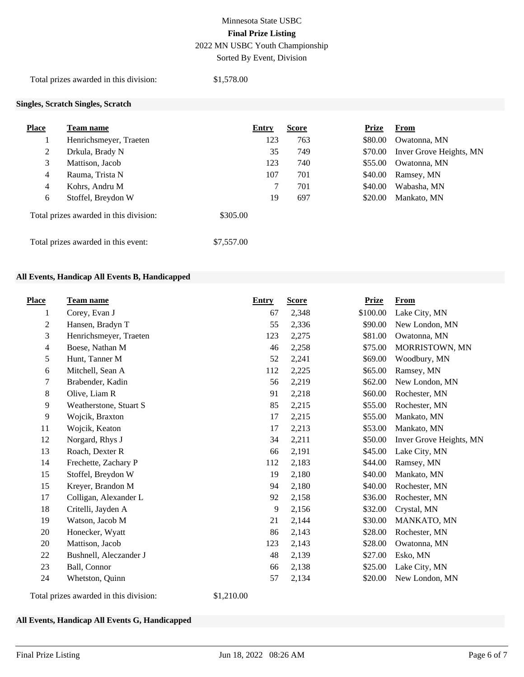# Minnesota State USBC **Final Prize Listing** 2022 MN USBC Youth Championship

Sorted By Event, Division

Total prizes awarded in this division: \$1,578.00

### **Singles, Scratch Singles, Scratch**

| <b>Place</b>                        | Team name                              | <b>Entry</b> | <b>Score</b> | Prize   | <b>From</b>             |
|-------------------------------------|----------------------------------------|--------------|--------------|---------|-------------------------|
|                                     | Henrichsmeyer, Traeten                 | 123          | 763          | \$80.00 | Owatonna, MN            |
| 2                                   | Drkula, Brady N                        | 35           | 749          | \$70.00 | Inver Grove Heights, MN |
| 3                                   | Mattison, Jacob                        | 123          | 740          | \$55.00 | Owatonna, MN            |
| $\overline{4}$                      | Rauma, Trista N                        | 107          | 701          | \$40.00 | Ramsey, MN              |
| $\overline{4}$                      | Kohrs, Andru M                         | 7            | 701          | \$40.00 | Wabasha, MN             |
| 6                                   | Stoffel, Breydon W                     | 19           | 697          | \$20.00 | Mankato, MN             |
|                                     | Total prizes awarded in this division: | \$305.00     |              |         |                         |
| Total prizes awarded in this event: |                                        | \$7,557.00   |              |         |                         |

#### **All Events, Handicap All Events B, Handicapped**

| <b>Place</b>   | <b>Team name</b>       | <b>Entry</b> | <b>Score</b> | <b>Prize</b> | <b>From</b>             |
|----------------|------------------------|--------------|--------------|--------------|-------------------------|
| 1              | Corey, Evan J          | 67           | 2,348        | \$100.00     | Lake City, MN           |
| $\overline{2}$ | Hansen, Bradyn T       | 55           | 2,336        | \$90.00      | New London, MN          |
| 3              | Henrichsmeyer, Traeten | 123          | 2,275        | \$81.00      | Owatonna, MN            |
| $\overline{4}$ | Boese, Nathan M        | 46           | 2,258        | \$75.00      | MORRISTOWN, MN          |
| 5              | Hunt, Tanner M         | 52           | 2,241        | \$69.00      | Woodbury, MN            |
| 6              | Mitchell, Sean A       | 112          | 2,225        | \$65.00      | Ramsey, MN              |
| $\tau$         | Brabender, Kadin       | 56           | 2,219        | \$62.00      | New London, MN          |
| 8              | Olive, Liam R          | 91           | 2,218        | \$60.00      | Rochester, MN           |
| 9              | Weatherstone, Stuart S | 85           | 2,215        | \$55.00      | Rochester, MN           |
| 9              | Wojcik, Braxton        | 17           | 2,215        | \$55.00      | Mankato, MN             |
| 11             | Wojcik, Keaton         | 17           | 2,213        | \$53.00      | Mankato, MN             |
| 12             | Norgard, Rhys J        | 34           | 2,211        | \$50.00      | Inver Grove Heights, MN |
| 13             | Roach, Dexter R        | 66           | 2,191        | \$45.00      | Lake City, MN           |
| 14             | Frechette, Zachary P   | 112          | 2,183        | \$44.00      | Ramsey, MN              |
| 15             | Stoffel, Breydon W     | 19           | 2,180        | \$40.00      | Mankato, MN             |
| 15             | Kreyer, Brandon M      | 94           | 2,180        | \$40.00      | Rochester, MN           |
| 17             | Colligan, Alexander L  | 92           | 2,158        | \$36.00      | Rochester, MN           |
| 18             | Critelli, Jayden A     | 9            | 2,156        | \$32.00      | Crystal, MN             |
| 19             | Watson, Jacob M        | 21           | 2,144        | \$30.00      | MANKATO, MN             |
| 20             | Honecker, Wyatt        | 86           | 2,143        | \$28.00      | Rochester, MN           |
| 20             | Mattison, Jacob        | 123          | 2,143        | \$28.00      | Owatonna, MN            |
| 22             | Bushnell, Aleczander J | 48           | 2,139        | \$27.00      | Esko, MN                |
| 23             | Ball, Connor           | 66           | 2,138        | \$25.00      | Lake City, MN           |
| 24             | Whetston, Quinn        | 57           | 2,134        | \$20.00      | New London, MN          |

Total prizes awarded in this division: \$1,210.00

### **All Events, Handicap All Events G, Handicapped**

**Place Team name Entry Score Prize From**